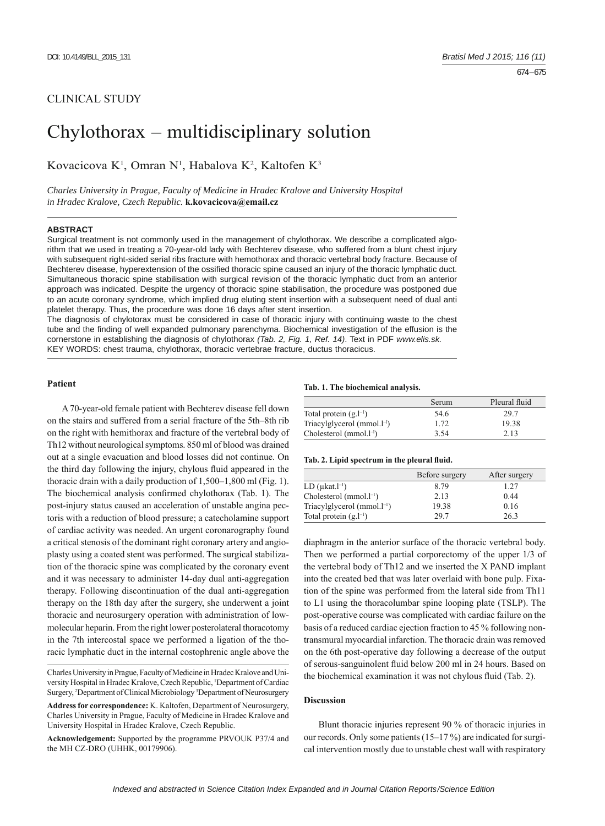# CLINICAL STUDY

# Chylothorax – multidisciplinary solution

Kovacicova K<sup>1</sup>, Omran N<sup>1</sup>, Habalova K<sup>2</sup>, Kaltofen K<sup>3</sup>

*Charles University in Prague, Faculty of Medicine in Hradec Kralove and University Hospital in Hradec Kralove, Czech Republic.* **k.kovacicova@email.cz**

# **ABSTRACT**

Surgical treatment is not commonly used in the management of chylothorax. We describe a complicated algorithm that we used in treating a 70-year-old lady with Bechterev disease, who suffered from a blunt chest injury with subsequent right-sided serial ribs fracture with hemothorax and thoracic vertebral body fracture. Because of Bechterev disease, hyperextension of the ossified thoracic spine caused an injury of the thoracic lymphatic duct. Simultaneous thoracic spine stabilisation with surgical revision of the thoracic lymphatic duct from an anterior approach was indicated. Despite the urgency of thoracic spine stabilisation, the procedure was postponed due to an acute coronary syndrome, which implied drug eluting stent insertion with a subsequent need of dual anti platelet therapy. Thus, the procedure was done 16 days after stent insertion.

The diagnosis of chylotorax must be considered in case of thoracic injury with continuing waste to the chest tube and the finding of well expanded pulmonary parenchyma. Biochemical investigation of the effusion is the cornerstone in establishing the diagnosis of chylothorax *(Tab. 2, Fig. 1, Ref. 14)*. Text in PDF *www.elis.sk.* KEY WORDS: chest trauma, chylothorax, thoracic vertebrae fracture, ductus thoracicus.

# **Patient**

A 70-year-old female patient with Bechterev disease fell down on the stairs and suffered from a serial fracture of the 5th–8th rib on the right with hemithorax and fracture of the vertebral body of Th12 without neurological symptoms. 850 ml of blood was drained out at a single evacuation and blood losses did not continue. On the third day following the injury, chylous fluid appeared in the thoracic drain with a daily production of 1,500–1,800 ml (Fig. 1). The biochemical analysis confirmed chylothorax (Tab. 1). The post-injury status caused an acceleration of unstable angina pectoris with a reduction of blood pressure; a catecholamine support of cardiac activity was needed. An urgent coronarography found a critical stenosis of the dominant right coronary artery and angioplasty using a coated stent was performed. The surgical stabilization of the thoracic spine was complicated by the coronary event and it was necessary to administer 14-day dual anti-aggregation therapy. Following discontinuation of the dual anti-aggregation therapy on the 18th day after the surgery, she underwent a joint thoracic and neurosurgery operation with administration of lowmolecular heparin. From the right lower posterolateral thoracotomy in the 7th intercostal space we performed a ligation of the thoracic lymphatic duct in the internal costophrenic angle above the

#### **Tab. 1. The biochemical analysis.**

|                              | Serum | Pleural fluid |
|------------------------------|-------|---------------|
| Total protein $(g.l^{-1})$   | 54.6  | 29.7          |
| $Triacylglycerol (mmol.1-1)$ | 1.72  | 19.38         |
| $Cholesterol (mmol. l-1)$    | 3.54  | 2.13          |

#### Tab. 2. Lipid spectrum in the pleural fluid.

|                                   | Before surgery | After surgery |
|-----------------------------------|----------------|---------------|
| LD $(\mu kat.l^{-1})$             | 8.79           | 1.27          |
| Cholesterol $(mmol.1^{-1})$       | 2.13           | 0.44          |
| Triacylglycerol (mmol. $l^{-1}$ ) | 19.38          | 0.16          |
| Total protein $(g.l^{-1})$        | 29.7           | 26.3          |

diaphragm in the anterior surface of the thoracic vertebral body. Then we performed a partial corporectomy of the upper 1/3 of the vertebral body of Th12 and we inserted the X PAND implant into the created bed that was later overlaid with bone pulp. Fixation of the spine was performed from the lateral side from Th11 to L1 using the thoracolumbar spine looping plate (TSLP). The post-operative course was complicated with cardiac failure on the basis of a reduced cardiac ejection fraction to 45 % following nontransmural myocardial infarction. The thoracic drain was removed on the 6th post-operative day following a decrease of the output of serous-sanguinolent fluid below 200 ml in 24 hours. Based on the biochemical examination it was not chylous fluid (Tab. 2).

### **Discussion**

Blunt thoracic injuries represent 90 % of thoracic injuries in our records. Only some patients (15–17 %) are indicated for surgical intervention mostly due to unstable chest wall with respiratory

Charles University in Prague, Faculty of Medicine in Hradec Kralove and University Hospital in Hradec Kralove, Czech Republic, <sup>1</sup>Department of Cardiac Surgery, <sup>2</sup>Department of Clinical Microbiology<sup>3</sup>Department of Neurosurgery

**Address for correspondence:** K. Kaltofen, Department of Neurosurgery, Charles University in Prague, Faculty of Medicine in Hradec Kralove and University Hospital in Hradec Kralove, Czech Republic.

**Acknowledgement:** Supported by the programme PRVOUK P37/4 and the MH CZ-DRO (UHHK, 00179906).